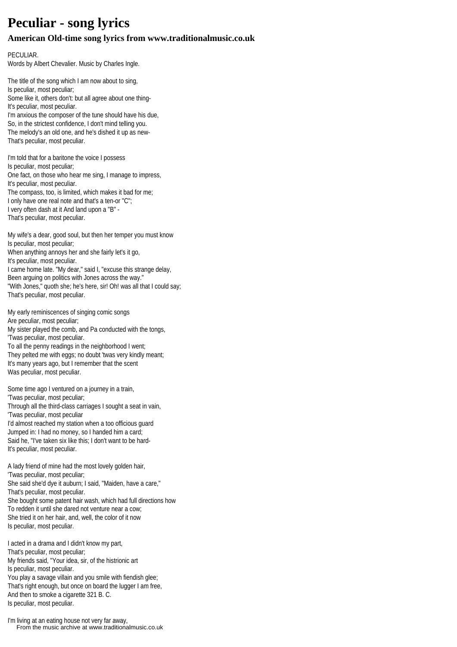## **Peculiar - song lyrics**

## **American Old-time song lyrics from www.traditionalmusic.co.uk**

PECULIAR. Words by Albert Chevalier. Music by Charles Ingle.

The title of the song which I am now about to sing, Is peculiar, most peculiar; Some like it, others don't: but all agree about one thing-It's peculiar, most peculiar. I'm anxious the composer of the tune should have his due, So, in the strictest confidence, I don't mind telling you. The melody's an old one, and he's dished it up as new-That's peculiar, most peculiar.

I'm told that for a baritone the voice I possess Is peculiar, most peculiar; One fact, on those who hear me sing, I manage to impress, It's peculiar, most peculiar. The compass, too, is limited, which makes it bad for me; I only have one real note and that's a ten-or "C"; I very often dash at it And land upon a "B" - That's peculiar, most peculiar.

My wife's a dear, good soul, but then her temper you must know Is peculiar, most peculiar; When anything annoys her and she fairly let's it go, It's peculiar, most peculiar. I came home late. "My dear," said I, "excuse this strange delay, Been arguing on politics with Jones across the way." "With Jones," quoth she; he's here, sir! Oh! was all that I could say;

That's peculiar, most peculiar.

My early reminiscences of singing comic songs Are peculiar, most peculiar; My sister played the comb, and Pa conducted with the tongs, 'Twas peculiar, most peculiar. To all the penny readings in the neighborhood I went;

They pelted me with eggs; no doubt 'twas very kindly meant; It's many years ago, but I remember that the scent Was peculiar, most peculiar.

Some time ago I ventured on a journey in a train, 'Twas peculiar, most peculiar; Through all the third-class carriages I sought a seat in vain, 'Twas peculiar, most peculiar I'd almost reached my station when a too officious guard Jumped in: I had no money, so I handed him a card; Said he, "I've taken six like this; I don't want to be hard-It's peculiar, most peculiar.

A lady friend of mine had the most lovely golden hair, 'Twas peculiar, most peculiar; She said she'd dye it auburn; I said, "Maiden, have a care," That's peculiar, most peculiar.

She bought some patent hair wash, which had full directions how To redden it until she dared not venture near a cow; She tried it on her hair, and, well, the color of it now Is peculiar, most peculiar.

I acted in a drama and I didn't know my part, That's peculiar, most peculiar; My friends said, "Your idea, sir, of the histrionic art Is peculiar, most peculiar. You play a savage villain and you smile with fiendish glee; That's right enough, but once on board the lugger I am free, And then to smoke a cigarette 321 B. C. Is peculiar, most peculiar.

I'm living at an eating house not very far away, From the music archive at www.traditionalmusic.co.uk